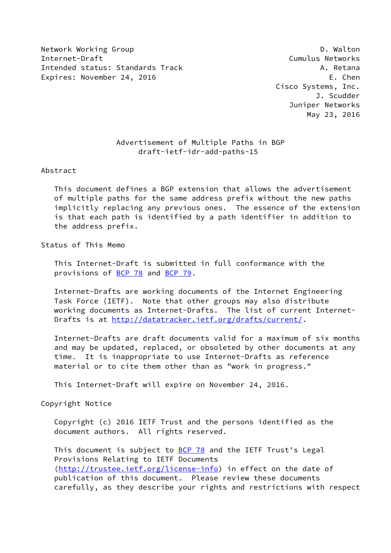Network Working Group **D. Walton** Internet-Draft Cumulus Networks Intended status: Standards Track A. Retana Expires: November 24, 2016 Expires: November 24, 2016

 Cisco Systems, Inc. J. Scudder Juniper Networks May 23, 2016

# Advertisement of Multiple Paths in BGP draft-ietf-idr-add-paths-15

# Abstract

 This document defines a BGP extension that allows the advertisement of multiple paths for the same address prefix without the new paths implicitly replacing any previous ones. The essence of the extension is that each path is identified by a path identifier in addition to the address prefix.

# Status of This Memo

 This Internet-Draft is submitted in full conformance with the provisions of [BCP 78](https://datatracker.ietf.org/doc/pdf/bcp78) and [BCP 79](https://datatracker.ietf.org/doc/pdf/bcp79).

 Internet-Drafts are working documents of the Internet Engineering Task Force (IETF). Note that other groups may also distribute working documents as Internet-Drafts. The list of current Internet- Drafts is at<http://datatracker.ietf.org/drafts/current/>.

 Internet-Drafts are draft documents valid for a maximum of six months and may be updated, replaced, or obsoleted by other documents at any time. It is inappropriate to use Internet-Drafts as reference material or to cite them other than as "work in progress."

This Internet-Draft will expire on November 24, 2016.

Copyright Notice

 Copyright (c) 2016 IETF Trust and the persons identified as the document authors. All rights reserved.

This document is subject to **[BCP 78](https://datatracker.ietf.org/doc/pdf/bcp78)** and the IETF Trust's Legal Provisions Relating to IETF Documents [\(http://trustee.ietf.org/license-info](http://trustee.ietf.org/license-info)) in effect on the date of publication of this document. Please review these documents carefully, as they describe your rights and restrictions with respect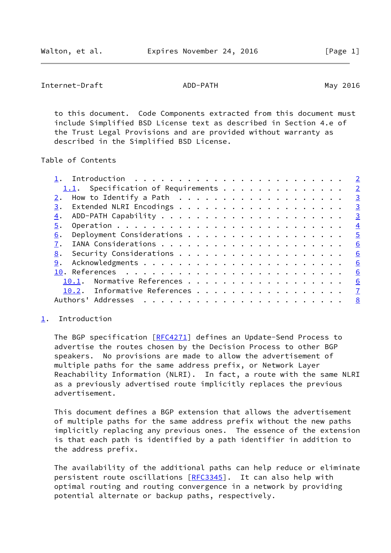```
Internet-Draft ADD-PATH ADD-PATH May 2016
```
 to this document. Code Components extracted from this document must include Simplified BSD License text as described in Section 4.e of the Trust Legal Provisions and are provided without warranty as described in the Simplified BSD License.

Table of Contents

|                                       | $\overline{2}$  |
|---------------------------------------|-----------------|
| $1.1$ . Specification of Requirements | $\overline{2}$  |
|                                       | $\overline{3}$  |
| 3.                                    | $\overline{3}$  |
| 4.                                    | $\overline{3}$  |
| 5.                                    | $\frac{4}{1}$   |
| 6.                                    | $\overline{5}$  |
|                                       | $6\overline{6}$ |
| 8.                                    | <u>6</u>        |
| 9.                                    | 6               |
|                                       | <u>6</u>        |
| Normative References<br>10.1.         | 6               |
| 10.2. Informative References          | $\mathbf{Z}$    |
| Addresses<br>Authors'                 | 8               |

# <span id="page-1-0"></span>[1](#page-1-0). Introduction

 The BGP specification [[RFC4271](https://datatracker.ietf.org/doc/pdf/rfc4271)] defines an Update-Send Process to advertise the routes chosen by the Decision Process to other BGP speakers. No provisions are made to allow the advertisement of multiple paths for the same address prefix, or Network Layer Reachability Information (NLRI). In fact, a route with the same NLRI as a previously advertised route implicitly replaces the previous advertisement.

 This document defines a BGP extension that allows the advertisement of multiple paths for the same address prefix without the new paths implicitly replacing any previous ones. The essence of the extension is that each path is identified by a path identifier in addition to the address prefix.

 The availability of the additional paths can help reduce or eliminate persistent route oscillations [[RFC3345](https://datatracker.ietf.org/doc/pdf/rfc3345)]. It can also help with optimal routing and routing convergence in a network by providing potential alternate or backup paths, respectively.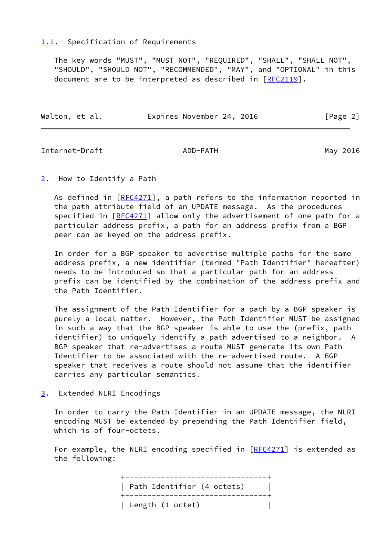# <span id="page-2-0"></span>[1.1](#page-2-0). Specification of Requirements

 The key words "MUST", "MUST NOT", "REQUIRED", "SHALL", "SHALL NOT", "SHOULD", "SHOULD NOT", "RECOMMENDED", "MAY", and "OPTIONAL" in this document are to be interpreted as described in [\[RFC2119](https://datatracker.ietf.org/doc/pdf/rfc2119)].

| Walton, et al. | Expires November 24, 2016 | [Page 2] |
|----------------|---------------------------|----------|
|                |                           |          |

<span id="page-2-2"></span>Internet-Draft ADD-PATH May 2016

# <span id="page-2-1"></span>[2](#page-2-1). How to Identify a Path

As defined in  $[RECA271]$ , a path refers to the information reported in the path attribute field of an UPDATE message. As the procedures specified in [\[RFC4271](https://datatracker.ietf.org/doc/pdf/rfc4271)] allow only the advertisement of one path for a particular address prefix, a path for an address prefix from a BGP peer can be keyed on the address prefix.

 In order for a BGP speaker to advertise multiple paths for the same address prefix, a new identifier (termed "Path Identifier" hereafter) needs to be introduced so that a particular path for an address prefix can be identified by the combination of the address prefix and the Path Identifier.

 The assignment of the Path Identifier for a path by a BGP speaker is purely a local matter. However, the Path Identifier MUST be assigned in such a way that the BGP speaker is able to use the (prefix, path identifier) to uniquely identify a path advertised to a neighbor. A BGP speaker that re-advertises a route MUST generate its own Path Identifier to be associated with the re-advertised route. A BGP speaker that receives a route should not assume that the identifier carries any particular semantics.

<span id="page-2-3"></span>[3](#page-2-3). Extended NLRI Encodings

 In order to carry the Path Identifier in an UPDATE message, the NLRI encoding MUST be extended by prepending the Path Identifier field, which is of four-octets.

For example, the NLRI encoding specified in [\[RFC4271](https://datatracker.ietf.org/doc/pdf/rfc4271)] is extended as the following:

> +--------------------------------+ | Path Identifier (4 octets) | +--------------------------------+ | Length (1 octet) |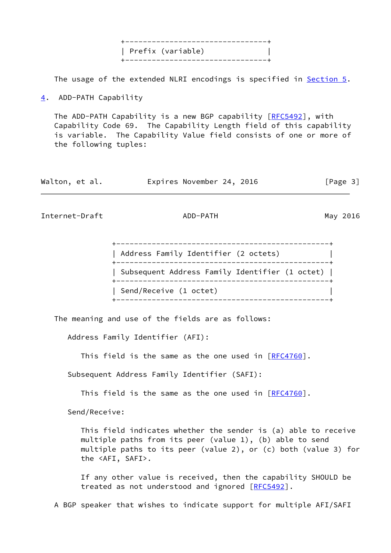+--------------------------------+ | Prefix (variable) | +--------------------------------+

The usage of the extended NLRI encodings is specified in **Section 5.** 

<span id="page-3-0"></span>[4](#page-3-0). ADD-PATH Capability

The ADD-PATH Capability is a new BGP capability [\[RFC5492](https://datatracker.ietf.org/doc/pdf/rfc5492)], with Capability Code 69. The Capability Length field of this capability is variable. The Capability Value field consists of one or more of the following tuples:

| Walton, et al. | Expires November 24, 2016 | [Page 3] |
|----------------|---------------------------|----------|
|----------------|---------------------------|----------|

<span id="page-3-1"></span>Internet-Draft ADD-PATH ADD-PATH May 2016

| ___________________________<br>Address Family Identifier (2 octets)<br>----------------------- |
|------------------------------------------------------------------------------------------------|
| Subsequent Address Family Identifier (1 octet)                                                 |
| Send/Receive (1 octet)                                                                         |

The meaning and use of the fields are as follows:

Address Family Identifier (AFI):

This field is the same as the one used in [\[RFC4760](https://datatracker.ietf.org/doc/pdf/rfc4760)].

Subsequent Address Family Identifier (SAFI):

This field is the same as the one used in  $[REC4760]$ .

Send/Receive:

 This field indicates whether the sender is (a) able to receive multiple paths from its peer (value 1), (b) able to send multiple paths to its peer (value 2), or (c) both (value 3) for the <AFI, SAFI>.

 If any other value is received, then the capability SHOULD be treated as not understood and ignored [\[RFC5492](https://datatracker.ietf.org/doc/pdf/rfc5492)].

A BGP speaker that wishes to indicate support for multiple AFI/SAFI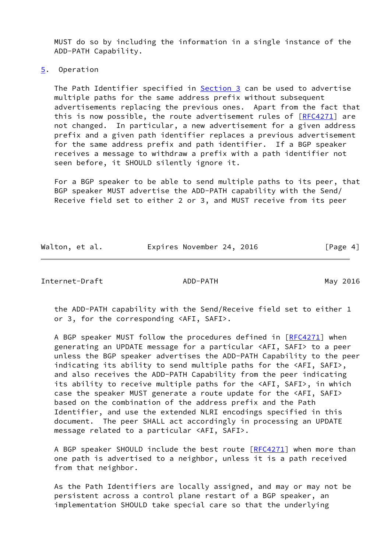MUST do so by including the information in a single instance of the ADD-PATH Capability.

<span id="page-4-0"></span>[5](#page-4-0). Operation

 The Path Identifier specified in [Section 3](#page-2-3) can be used to advertise multiple paths for the same address prefix without subsequent advertisements replacing the previous ones. Apart from the fact that this is now possible, the route advertisement rules of [\[RFC4271](https://datatracker.ietf.org/doc/pdf/rfc4271)] are not changed. In particular, a new advertisement for a given address prefix and a given path identifier replaces a previous advertisement for the same address prefix and path identifier. If a BGP speaker receives a message to withdraw a prefix with a path identifier not seen before, it SHOULD silently ignore it.

 For a BGP speaker to be able to send multiple paths to its peer, that BGP speaker MUST advertise the ADD-PATH capability with the Send/ Receive field set to either 2 or 3, and MUST receive from its peer

| Walton, et al. | Expires November 24, 2016 | [Page 4] |
|----------------|---------------------------|----------|
|                |                           |          |

<span id="page-4-1"></span>Internet-Draft ADD-PATH May 2016

 the ADD-PATH capability with the Send/Receive field set to either 1 or 3, for the corresponding <AFI, SAFI>.

 A BGP speaker MUST follow the procedures defined in [\[RFC4271](https://datatracker.ietf.org/doc/pdf/rfc4271)] when generating an UPDATE message for a particular <AFI, SAFI> to a peer unless the BGP speaker advertises the ADD-PATH Capability to the peer indicating its ability to send multiple paths for the <AFI, SAFI>, and also receives the ADD-PATH Capability from the peer indicating its ability to receive multiple paths for the <AFI, SAFI>, in which case the speaker MUST generate a route update for the <AFI, SAFI> based on the combination of the address prefix and the Path Identifier, and use the extended NLRI encodings specified in this document. The peer SHALL act accordingly in processing an UPDATE message related to a particular <AFI, SAFI>.

A BGP speaker SHOULD include the best route [\[RFC4271](https://datatracker.ietf.org/doc/pdf/rfc4271)] when more than one path is advertised to a neighbor, unless it is a path received from that neighbor.

 As the Path Identifiers are locally assigned, and may or may not be persistent across a control plane restart of a BGP speaker, an implementation SHOULD take special care so that the underlying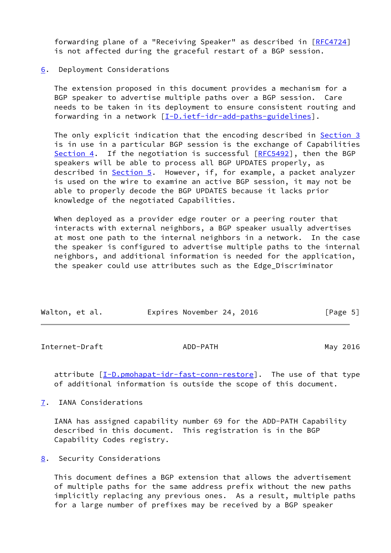forwarding plane of a "Receiving Speaker" as described in [[RFC4724](https://datatracker.ietf.org/doc/pdf/rfc4724)] is not affected during the graceful restart of a BGP session.

#### <span id="page-5-0"></span>[6](#page-5-0). Deployment Considerations

 The extension proposed in this document provides a mechanism for a BGP speaker to advertise multiple paths over a BGP session. Care needs to be taken in its deployment to ensure consistent routing and forwarding in a network [\[I-D.ietf-idr-add-paths-guidelines](#page-7-2)].

The only explicit indication that the encoding described in **[Section 3](#page-2-3)**  is in use in a particular BGP session is the exchange of Capabilities [Section 4](#page-3-0). If the negotiation is successful [\[RFC5492](https://datatracker.ietf.org/doc/pdf/rfc5492)], then the BGP speakers will be able to process all BGP UPDATES properly, as described in [Section 5](#page-4-0). However, if, for example, a packet analyzer is used on the wire to examine an active BGP session, it may not be able to properly decode the BGP UPDATES because it lacks prior knowledge of the negotiated Capabilities.

 When deployed as a provider edge router or a peering router that interacts with external neighbors, a BGP speaker usually advertises at most one path to the internal neighbors in a network. In the case the speaker is configured to advertise multiple paths to the internal neighbors, and additional information is needed for the application, the speaker could use attributes such as the Edge\_Discriminator

| Walton, et al. | Expires November 24, 2016 | [Page 5] |  |
|----------------|---------------------------|----------|--|
|                |                           |          |  |

<span id="page-5-2"></span>Internet-Draft ADD-PATH ADD-PATH May 2016

 attribute [[I-D.pmohapat-idr-fast-conn-restore\]](#page-7-3). The use of that type of additional information is outside the scope of this document.

<span id="page-5-1"></span>[7](#page-5-1). IANA Considerations

 IANA has assigned capability number 69 for the ADD-PATH Capability described in this document. This registration is in the BGP Capability Codes registry.

<span id="page-5-3"></span>[8](#page-5-3). Security Considerations

 This document defines a BGP extension that allows the advertisement of multiple paths for the same address prefix without the new paths implicitly replacing any previous ones. As a result, multiple paths for a large number of prefixes may be received by a BGP speaker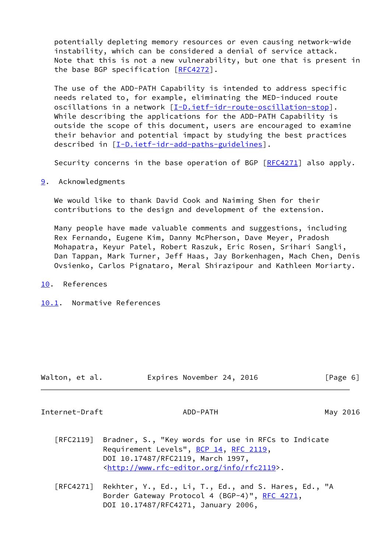potentially depleting memory resources or even causing network-wide instability, which can be considered a denial of service attack. Note that this is not a new vulnerability, but one that is present in the base BGP specification [[RFC4272\]](https://datatracker.ietf.org/doc/pdf/rfc4272).

 The use of the ADD-PATH Capability is intended to address specific needs related to, for example, eliminating the MED-induced route oscillations in a network [[I-D.ietf-idr-route-oscillation-stop](#page-7-4)]. While describing the applications for the ADD-PATH Capability is outside the scope of this document, users are encouraged to examine their behavior and potential impact by studying the best practices described in [\[I-D.ietf-idr-add-paths-guidelines\]](#page-7-2).

Security concerns in the base operation of BGP [\[RFC4271](https://datatracker.ietf.org/doc/pdf/rfc4271)] also apply.

<span id="page-6-0"></span>[9](#page-6-0). Acknowledgments

 We would like to thank David Cook and Naiming Shen for their contributions to the design and development of the extension.

 Many people have made valuable comments and suggestions, including Rex Fernando, Eugene Kim, Danny McPherson, Dave Meyer, Pradosh Mohapatra, Keyur Patel, Robert Raszuk, Eric Rosen, Srihari Sangli, Dan Tappan, Mark Turner, Jeff Haas, Jay Borkenhagen, Mach Chen, Denis Ovsienko, Carlos Pignataro, Meral Shirazipour and Kathleen Moriarty.

<span id="page-6-1"></span>[10.](#page-6-1) References

<span id="page-6-2"></span>[10.1](#page-6-2). Normative References

| Walton, et al. | Expires November 24, 2016 | [Page 6] |
|----------------|---------------------------|----------|
|                |                           |          |

<span id="page-6-3"></span>Internet-Draft ADD-PATH May 2016

- [RFC2119] Bradner, S., "Key words for use in RFCs to Indicate Requirement Levels", [BCP 14](https://datatracker.ietf.org/doc/pdf/bcp14), [RFC 2119](https://datatracker.ietf.org/doc/pdf/rfc2119), DOI 10.17487/RFC2119, March 1997, <<http://www.rfc-editor.org/info/rfc2119>>.
- [RFC4271] Rekhter, Y., Ed., Li, T., Ed., and S. Hares, Ed., "A Border Gateway Protocol 4 (BGP-4)", [RFC 4271,](https://datatracker.ietf.org/doc/pdf/rfc4271) DOI 10.17487/RFC4271, January 2006,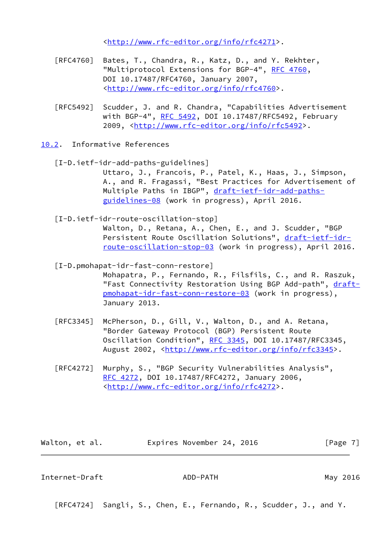<<http://www.rfc-editor.org/info/rfc4271>>.

- [RFC4760] Bates, T., Chandra, R., Katz, D., and Y. Rekhter, "Multiprotocol Extensions for BGP-4", [RFC 4760](https://datatracker.ietf.org/doc/pdf/rfc4760), DOI 10.17487/RFC4760, January 2007, <<http://www.rfc-editor.org/info/rfc4760>>.
- [RFC5492] Scudder, J. and R. Chandra, "Capabilities Advertisement with BGP-4", [RFC 5492](https://datatracker.ietf.org/doc/pdf/rfc5492), DOI 10.17487/RFC5492, February 2009, [<http://www.rfc-editor.org/info/rfc5492](http://www.rfc-editor.org/info/rfc5492)>.
- <span id="page-7-2"></span><span id="page-7-0"></span>[10.2](#page-7-0). Informative References
	- [I-D.ietf-idr-add-paths-guidelines] Uttaro, J., Francois, P., Patel, K., Haas, J., Simpson, A., and R. Fragassi, "Best Practices for Advertisement of Multiple Paths in IBGP", [draft-ietf-idr-add-paths](https://datatracker.ietf.org/doc/pdf/draft-ietf-idr-add-paths-guidelines-08) [guidelines-08](https://datatracker.ietf.org/doc/pdf/draft-ietf-idr-add-paths-guidelines-08) (work in progress), April 2016.
	- [I-D.ietf-idr-route-oscillation-stop]

<span id="page-7-4"></span> Walton, D., Retana, A., Chen, E., and J. Scudder, "BGP Persistent Route Oscillation Solutions", [draft-ietf-idr](https://datatracker.ietf.org/doc/pdf/draft-ietf-idr-route-oscillation-stop-03) [route-oscillation-stop-03](https://datatracker.ietf.org/doc/pdf/draft-ietf-idr-route-oscillation-stop-03) (work in progress), April 2016.

<span id="page-7-3"></span>[I-D.pmohapat-idr-fast-conn-restore]

 Mohapatra, P., Fernando, R., Filsfils, C., and R. Raszuk, "Fast Connectivity Restoration Using BGP Add-path", [draft](https://datatracker.ietf.org/doc/pdf/draft-pmohapat-idr-fast-conn-restore-03) [pmohapat-idr-fast-conn-restore-03](https://datatracker.ietf.org/doc/pdf/draft-pmohapat-idr-fast-conn-restore-03) (work in progress), January 2013.

- [RFC3345] McPherson, D., Gill, V., Walton, D., and A. Retana, "Border Gateway Protocol (BGP) Persistent Route Oscillation Condition", [RFC 3345,](https://datatracker.ietf.org/doc/pdf/rfc3345) DOI 10.17487/RFC3345, August 2002, [<http://www.rfc-editor.org/info/rfc3345](http://www.rfc-editor.org/info/rfc3345)>.
- [RFC4272] Murphy, S., "BGP Security Vulnerabilities Analysis", [RFC 4272,](https://datatracker.ietf.org/doc/pdf/rfc4272) DOI 10.17487/RFC4272, January 2006, <<http://www.rfc-editor.org/info/rfc4272>>.

Walton, et al. **Expires November 24, 2016** [Page 7]

<span id="page-7-1"></span>Internet-Draft ADD-PATH May 2016

[RFC4724] Sangli, S., Chen, E., Fernando, R., Scudder, J., and Y.